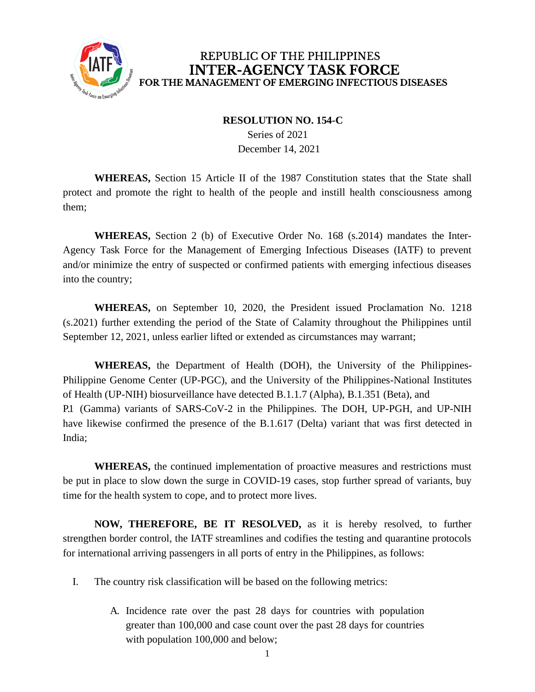

## REPUBLIC OF THE PHILIPPINES **INTER-AGENCY TASK FORCE** FOR THE MANAGEMENT OF EMERGING INFECTIOUS DISEASES

## **RESOLUTION NO. 154-C**

Series of 2021 December 14, 2021

**WHEREAS,** Section 15 Article II of the 1987 Constitution states that the State shall protect and promote the right to health of the people and instill health consciousness among them;

**WHEREAS,** Section 2 (b) of Executive Order No. 168 (s.2014) mandates the Inter-Agency Task Force for the Management of Emerging Infectious Diseases (IATF) to prevent and/or minimize the entry of suspected or confirmed patients with emerging infectious diseases into the country;

**WHEREAS,** on September 10, 2020, the President issued Proclamation No. 1218 (s.2021) further extending the period of the State of Calamity throughout the Philippines until September 12, 2021, unless earlier lifted or extended as circumstances may warrant;

**WHEREAS,** the Department of Health (DOH), the University of the Philippines-Philippine Genome Center (UP-PGC), and the University of the Philippines-National Institutes of Health (UP-NIH) biosurveillance have detected B.1.1.7 (Alpha), B.1.351 (Beta), and P.1 (Gamma) variants of SARS-CoV-2 in the Philippines. The DOH, UP-PGH, and UP-NIH have likewise confirmed the presence of the B.1.617 (Delta) variant that was first detected in India;

**WHEREAS,** the continued implementation of proactive measures and restrictions must be put in place to slow down the surge in COVID-19 cases, stop further spread of variants, buy time for the health system to cope, and to protect more lives.

**NOW, THEREFORE, BE IT RESOLVED,** as it is hereby resolved, to further strengthen border control, the IATF streamlines and codifies the testing and quarantine protocols for international arriving passengers in all ports of entry in the Philippines, as follows:

- I. The country risk classification will be based on the following metrics:
	- A. Incidence rate over the past 28 days for countries with population greater than 100,000 and case count over the past 28 days for countries with population 100,000 and below;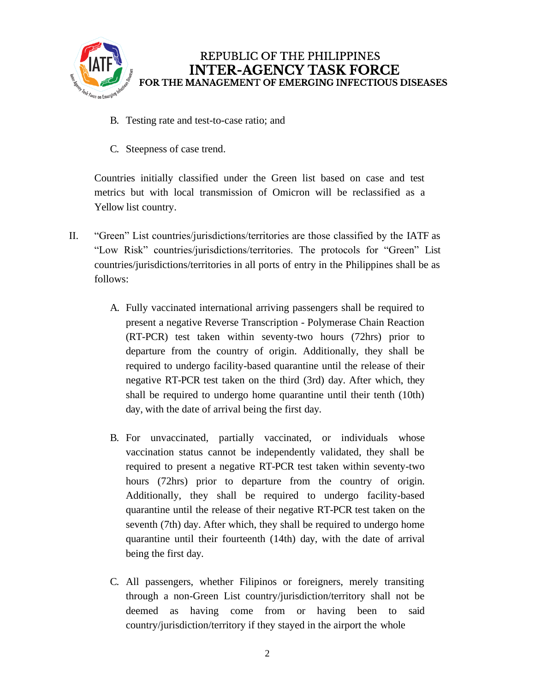

- B. Testing rate and test-to-case ratio; and
- C. Steepness of case trend.

Countries initially classified under the Green list based on case and test metrics but with local transmission of Omicron will be reclassified as a Yellow list country.

- II. "Green" List countries/jurisdictions/territories are those classified by the IATF as "Low Risk" countries/jurisdictions/territories. The protocols for "Green" List countries/jurisdictions/territories in all ports of entry in the Philippines shall be as follows:
	- A. Fully vaccinated international arriving passengers shall be required to present a negative Reverse Transcription - Polymerase Chain Reaction (RT-PCR) test taken within seventy-two hours (72hrs) prior to departure from the country of origin. Additionally, they shall be required to undergo facility-based quarantine until the release of their negative RT-PCR test taken on the third (3rd) day. After which, they shall be required to undergo home quarantine until their tenth (10th) day, with the date of arrival being the first day.
	- B. For unvaccinated, partially vaccinated, or individuals whose vaccination status cannot be independently validated, they shall be required to present a negative RT-PCR test taken within seventy-two hours (72hrs) prior to departure from the country of origin. Additionally, they shall be required to undergo facility-based quarantine until the release of their negative RT-PCR test taken on the seventh (7th) day. After which, they shall be required to undergo home quarantine until their fourteenth (14th) day, with the date of arrival being the first day.
	- C. All passengers, whether Filipinos or foreigners, merely transiting through a non-Green List country/jurisdiction/territory shall not be deemed as having come from or having been to said country/jurisdiction/territory if they stayed in the airport the whole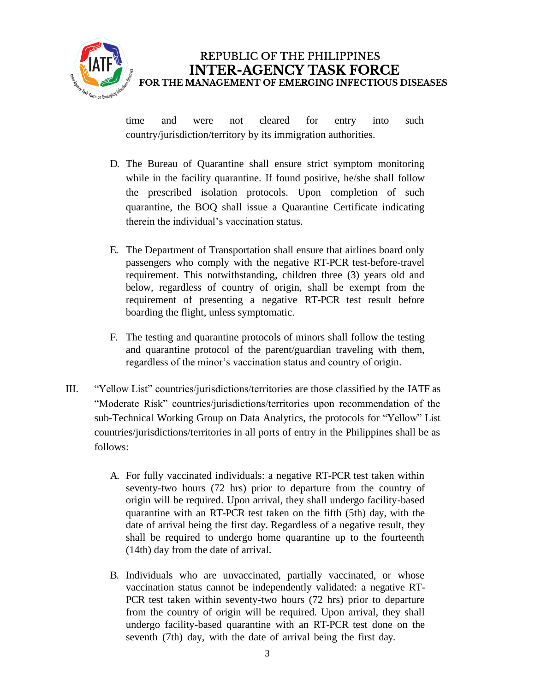

time and were not cleared for entry into such country/jurisdiction/territory by its immigration authorities.

- D. The Bureau of Quarantine shall ensure strict symptom monitoring while in the facility quarantine. If found positive, he/she shall follow the prescribed isolation protocols. Upon completion of such quarantine, the BOQ shall issue a Quarantine Certificate indicating therein the individual's vaccination status.
- E. The Department of Transportation shall ensure that airlines board only passengers who comply with the negative RT-PCR test-before-travel requirement. This notwithstanding, children three (3) years old and below, regardless of country of origin, shall be exempt from the requirement of presenting a negative RT-PCR test result before boarding the flight, unless symptomatic.
- F. The testing and quarantine protocols of minors shall follow the testing and quarantine protocol of the parent/guardian traveling with them, regardless of the minor's vaccination status and country of origin.
- III. "Yellow List" countries/jurisdictions/territories are those classified by the IATF as "Moderate Risk" countries/jurisdictions/territories upon recommendation of the sub-Technical Working Group on Data Analytics, the protocols for "Yellow" List countries/jurisdictions/territories in all ports of entry in the Philippines shall be as follows:
	- A. For fully vaccinated individuals: a negative RT-PCR test taken within seventy-two hours (72 hrs) prior to departure from the country of origin will be required. Upon arrival, they shall undergo facility-based quarantine with an RT-PCR test taken on the fifth (5th) day, with the date of arrival being the first day. Regardless of a negative result, they shall be required to undergo home quarantine up to the fourteenth (14th) day from the date of arrival.
	- B. Individuals who are unvaccinated, partially vaccinated, or whose vaccination status cannot be independently validated: a negative RT-PCR test taken within seventy-two hours (72 hrs) prior to departure from the country of origin will be required. Upon arrival, they shall undergo facility-based quarantine with an RT-PCR test done on the seventh (7th) day, with the date of arrival being the first day.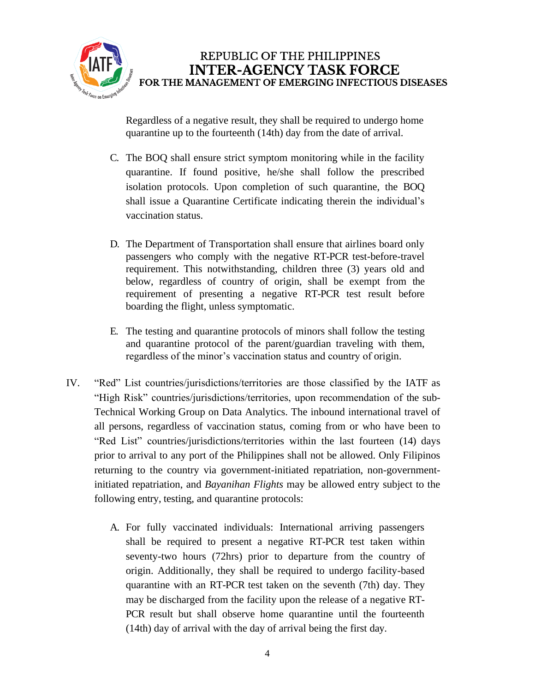

Regardless of a negative result, they shall be required to undergo home quarantine up to the fourteenth (14th) day from the date of arrival.

- C. The BOQ shall ensure strict symptom monitoring while in the facility quarantine. If found positive, he/she shall follow the prescribed isolation protocols. Upon completion of such quarantine, the BOQ shall issue a Quarantine Certificate indicating therein the individual's vaccination status.
- D. The Department of Transportation shall ensure that airlines board only passengers who comply with the negative RT-PCR test-before-travel requirement. This notwithstanding, children three (3) years old and below, regardless of country of origin, shall be exempt from the requirement of presenting a negative RT-PCR test result before boarding the flight, unless symptomatic.
- E. The testing and quarantine protocols of minors shall follow the testing and quarantine protocol of the parent/guardian traveling with them, regardless of the minor's vaccination status and country of origin.
- IV. "Red" List countries/jurisdictions/territories are those classified by the IATF as "High Risk" countries/jurisdictions/territories, upon recommendation of the sub-Technical Working Group on Data Analytics. The inbound international travel of all persons, regardless of vaccination status, coming from or who have been to "Red List" countries/jurisdictions/territories within the last fourteen (14) days prior to arrival to any port of the Philippines shall not be allowed. Only Filipinos returning to the country via government-initiated repatriation, non-governmentinitiated repatriation, and *Bayanihan Flights* may be allowed entry subject to the following entry, testing, and quarantine protocols:
	- A. For fully vaccinated individuals: International arriving passengers shall be required to present a negative RT-PCR test taken within seventy-two hours (72hrs) prior to departure from the country of origin. Additionally, they shall be required to undergo facility-based quarantine with an RT-PCR test taken on the seventh (7th) day. They may be discharged from the facility upon the release of a negative RT-PCR result but shall observe home quarantine until the fourteenth (14th) day of arrival with the day of arrival being the first day.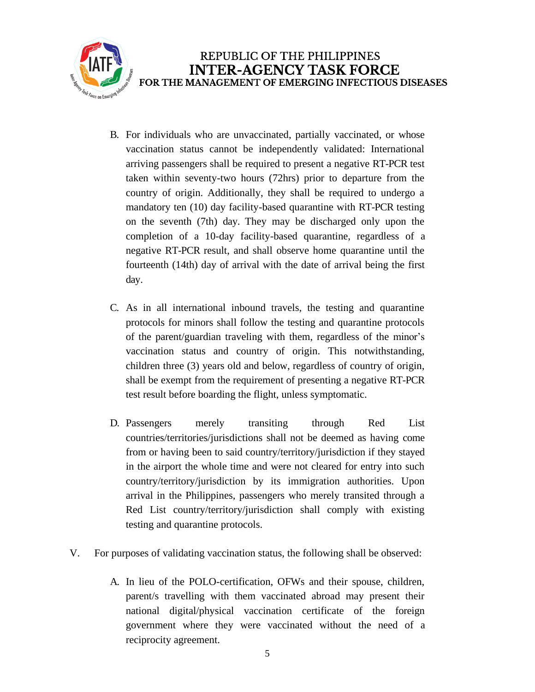

- B. For individuals who are unvaccinated, partially vaccinated, or whose vaccination status cannot be independently validated: International arriving passengers shall be required to present a negative RT-PCR test taken within seventy-two hours (72hrs) prior to departure from the country of origin. Additionally, they shall be required to undergo a mandatory ten (10) day facility-based quarantine with RT-PCR testing on the seventh (7th) day. They may be discharged only upon the completion of a 10-day facility-based quarantine, regardless of a negative RT-PCR result, and shall observe home quarantine until the fourteenth (14th) day of arrival with the date of arrival being the first day.
- C. As in all international inbound travels, the testing and quarantine protocols for minors shall follow the testing and quarantine protocols of the parent/guardian traveling with them, regardless of the minor's vaccination status and country of origin. This notwithstanding, children three (3) years old and below, regardless of country of origin, shall be exempt from the requirement of presenting a negative RT-PCR test result before boarding the flight, unless symptomatic.
- D. Passengers merely transiting through Red List countries/territories/jurisdictions shall not be deemed as having come from or having been to said country/territory/jurisdiction if they stayed in the airport the whole time and were not cleared for entry into such country/territory/jurisdiction by its immigration authorities. Upon arrival in the Philippines, passengers who merely transited through a Red List country/territory/jurisdiction shall comply with existing testing and quarantine protocols.
- V. For purposes of validating vaccination status, the following shall be observed:
	- A. In lieu of the POLO-certification, OFWs and their spouse, children, parent/s travelling with them vaccinated abroad may present their national digital/physical vaccination certificate of the foreign government where they were vaccinated without the need of a reciprocity agreement.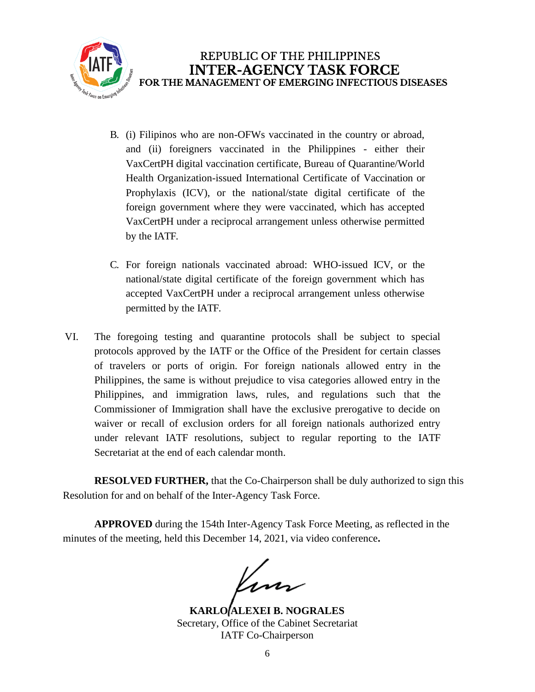

- B. (i) Filipinos who are non-OFWs vaccinated in the country or abroad, and (ii) foreigners vaccinated in the Philippines - either their VaxCertPH digital vaccination certificate, Bureau of Quarantine/World Health Organization-issued International Certificate of Vaccination or Prophylaxis (ICV), or the national/state digital certificate of the foreign government where they were vaccinated, which has accepted VaxCertPH under a reciprocal arrangement unless otherwise permitted by the IATF.
- C. For foreign nationals vaccinated abroad: WHO-issued ICV, or the national/state digital certificate of the foreign government which has accepted VaxCertPH under a reciprocal arrangement unless otherwise permitted by the IATF.
- VI. The foregoing testing and quarantine protocols shall be subject to special protocols approved by the IATF or the Office of the President for certain classes of travelers or ports of origin. For foreign nationals allowed entry in the Philippines, the same is without prejudice to visa categories allowed entry in the Philippines, and immigration laws, rules, and regulations such that the Commissioner of Immigration shall have the exclusive prerogative to decide on waiver or recall of exclusion orders for all foreign nationals authorized entry under relevant IATF resolutions, subject to regular reporting to the IATF Secretariat at the end of each calendar month.

**RESOLVED FURTHER,** that the Co-Chairperson shall be duly authorized to sign this Resolution for and on behalf of the Inter-Agency Task Force.

**APPROVED** during the 154th Inter-Agency Task Force Meeting, as reflected in the minutes of the meeting, held this December 14, 2021, via video conference**.**

**KARLO ALEXEI B. NOGRALES** Secretary, Office of the Cabinet Secretariat IATF Co-Chairperson